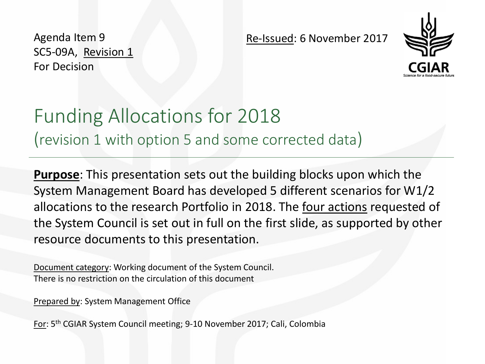Agenda Item 9 SC5-09A, Revision 1 For Decision

Re-Issued: 6 November 2017



# Funding Allocations for 2018 (revision 1 with option 5 and some corrected data)

**Purpose**: This presentation sets out the building blocks upon which the System Management Board has developed 5 different scenarios for W1/2 allocations to the research Portfolio in 2018. The four actions requested of the System Council is set out in full on the first slide, as supported by other resource documents to this presentation.

Document category: Working document of the System Council. There is no restriction on the circulation of this document

Prepared by: System Management Office

For: 5th CGIAR System Council meeting; 9-10 November 2017; Cali, Colombia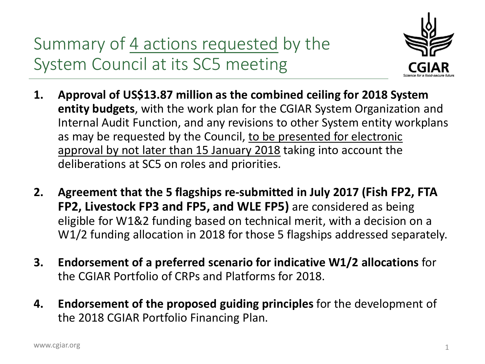Summary of 4 actions requested by the System Council at its SC5 meeting



- **1. Approval of US\$13.87 million as the combined ceiling for 2018 System entity budgets**, with the work plan for the CGIAR System Organization and Internal Audit Function, and any revisions to other System entity workplans as may be requested by the Council, to be presented for electronic approval by not later than 15 January 2018 taking into account the deliberations at SC5 on roles and priorities.
- **2. Agreement that the 5 flagships re-submitted in July 2017 (Fish FP2, FTA FP2, Livestock FP3 and FP5, and WLE FP5)** are considered as being eligible for W1&2 funding based on technical merit, with a decision on a W1/2 funding allocation in 2018 for those 5 flagships addressed separately.
- **3. Endorsement of a preferred scenario for indicative W1/2 allocations** for the CGIAR Portfolio of CRPs and Platforms for 2018.
- **4. Endorsement of the proposed guiding principles** for the development of the 2018 CGIAR Portfolio Financing Plan.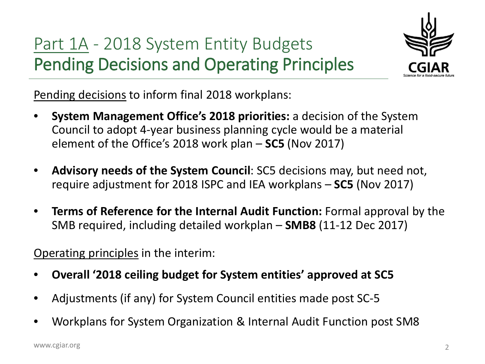# Part 1A - 2018 System Entity Budgets Pending Decisions and Operating Principles



Pending decisions to inform final 2018 workplans:

- **System Management Office's 2018 priorities:** a decision of the System Council to adopt 4-year business planning cycle would be a material element of the Office's 2018 work plan – **SC5** (Nov 2017)
- **Advisory needs of the System Council**: SC5 decisions may, but need not, require adjustment for 2018 ISPC and IEA workplans – **SC5** (Nov 2017)
- **Terms of Reference for the Internal Audit Function:** Formal approval by the SMB required, including detailed workplan – **SMB8** (11-12 Dec 2017)

Operating principles in the interim:

- **Overall '2018 ceiling budget for System entities' approved at SC5**
- Adjustments (if any) for System Council entities made post SC-5
- Workplans for System Organization & Internal Audit Function post SM8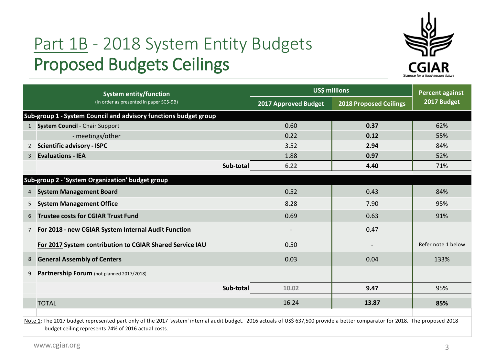### Part 1B - 2018 System Entity Budgets Proposed Budgets Ceilings



|                | <b>System entity/function</b>                                                                                                                                                  | US\$ millions        | <b>Percent against</b>        |                    |  |
|----------------|--------------------------------------------------------------------------------------------------------------------------------------------------------------------------------|----------------------|-------------------------------|--------------------|--|
|                | (In order as presented in paper SC5-9B)                                                                                                                                        | 2017 Approved Budget | <b>2018 Proposed Ceilings</b> | 2017 Budget        |  |
|                | Sub-group 1 - System Council and advisory functions budget group                                                                                                               |                      |                               |                    |  |
|                | 1 System Council - Chair Support                                                                                                                                               | 0.60                 | 0.37                          | 62%                |  |
|                | - meetings/other                                                                                                                                                               | 0.22                 | 0.12                          | 55%                |  |
| $\mathbf{2}$   | <b>Scientific advisory - ISPC</b>                                                                                                                                              | 3.52                 | 2.94                          | 84%                |  |
| 3              | <b>Evaluations - IEA</b>                                                                                                                                                       | 1.88                 | 0.97                          | 52%                |  |
|                | Sub-total                                                                                                                                                                      | 6.22                 | 4.40                          | 71%                |  |
|                | Sub-group 2 - 'System Organization' budget group                                                                                                                               |                      |                               |                    |  |
| 4              | <b>System Management Board</b>                                                                                                                                                 | 0.52                 | 0.43                          | 84%                |  |
| 5              | <b>System Management Office</b>                                                                                                                                                | 8.28                 | 7.90                          | 95%                |  |
| 6              | <b>Trustee costs for CGIAR Trust Fund</b>                                                                                                                                      | 0.69                 | 0.63                          | 91%                |  |
| $\overline{7}$ | For 2018 - new CGIAR System Internal Audit Function                                                                                                                            |                      | 0.47                          |                    |  |
|                | For 2017 System contribution to CGIAR Shared Service IAU                                                                                                                       | 0.50                 |                               | Refer note 1 below |  |
| 8              | <b>General Assembly of Centers</b>                                                                                                                                             | 0.03                 | 0.04                          | 133%               |  |
| 9              | Partnership Forum (not planned 2017/2018)                                                                                                                                      |                      |                               |                    |  |
|                | Sub-total                                                                                                                                                                      | 10.02                | 9.47                          | 95%                |  |
|                | <b>TOTAL</b>                                                                                                                                                                   | 16.24                | 13.87                         | 85%                |  |
|                | Note 1: The 2017 budget represented part only of the 2017 'system' internal audit budget. 2016 actuals of US\$ 637,500 provide a better comparator for 2018. The proposed 2018 |                      |                               |                    |  |

budget ceiling represents 74% of 2016 actual costs.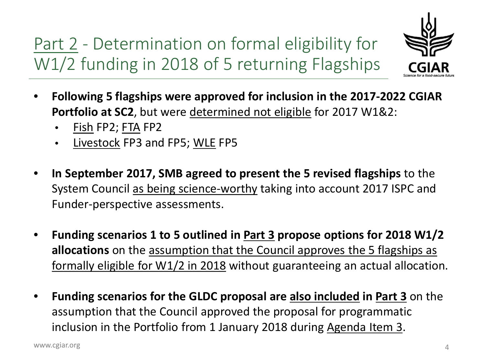Part 2 - Determination on formal eligibility for W1/2 funding in 2018 of 5 returning Flagships



- **Following 5 flagships were approved for inclusion in the 2017-2022 CGIAR Portfolio at SC2**, but were determined not eligible for 2017 W1&2:
	- Fish FP2; FTA FP2
	- Livestock FP3 and FP5; WLE FP5
- **In September 2017, SMB agreed to present the 5 revised flagships** to the System Council as being science-worthy taking into account 2017 ISPC and Funder-perspective assessments.
- **Funding scenarios 1 to 5 outlined in Part 3 propose options for 2018 W1/2 allocations** on the assumption that the Council approves the 5 flagships as formally eligible for W1/2 in 2018 without guaranteeing an actual allocation.
- **Funding scenarios for the GLDC proposal are also included in Part 3** on the assumption that the Council approved the proposal for programmatic inclusion in the Portfolio from 1 January 2018 during Agenda Item 3.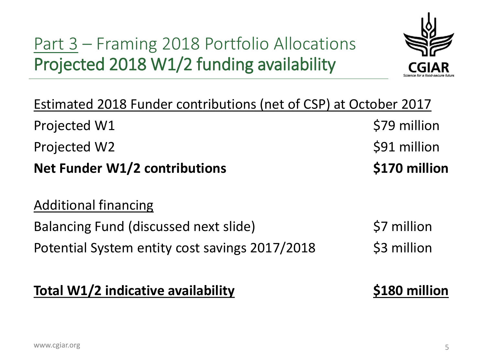# Part 3 – Framing 2018 Portfolio Allocations Projected 2018 W1/2 funding availability



| Estimated 2018 Funder contributions (net of CSP) at October 2017 |                     |
|------------------------------------------------------------------|---------------------|
| Projected W1                                                     | \$79 million        |
| <b>Projected W2</b>                                              | \$91 million        |
| <b>Net Funder W1/2 contributions</b>                             | \$170 million       |
| <b>Additional financing</b>                                      |                     |
| <b>Balancing Fund (discussed next slide)</b>                     | \$7 million         |
| Potential System entity cost savings 2017/2018                   | \$3 million         |
| <b>Total W1/2 indicative availability</b>                        | <b>S180 million</b> |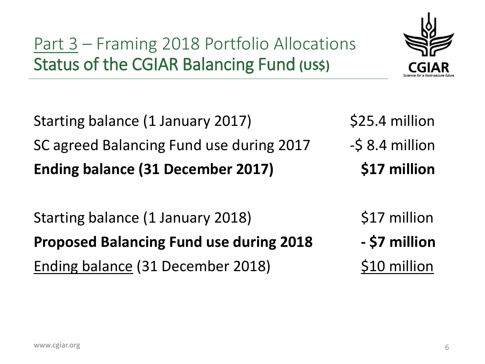#### Part 3 – Framing 2018 Portfolio Allocations Status of the CGIAR Balancing Fund **(US\$)**

Starting balance (1 January 2017) \$25.4 million SC agreed Balancing Fund use during 2017 - \$ 8.4 million **Ending balance (31 December 2017) \$17 million**

Starting balance (1 January 2018) \$17 million **Proposed Balancing Fund use during 2018 - \$7 million** Ending balance (31 December 2018) \$10 million

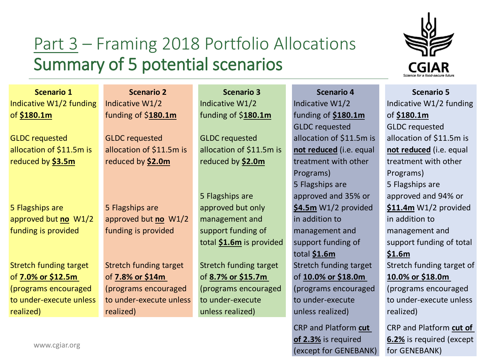#### Part 3 – Framing 2018 Portfolio Allocations Summary of 5 potential scenarios

Indicative W1/2 funding of **\$180.1m** GLDC requested allocation of \$11.5m is reduced by **\$3.5m**

5 Flagships are approved but **no** W1/2 funding is provided

Stretch funding target of **7.0% or \$12.5m**  (programs encouraged to under-execute unless realized)

Indicative W1/2 funding of \$**180.1m**

GLDC requested allocation of \$11.5m is reduced by **\$2.0m**

5 Flagships are approved but **no** W1/2 funding is provided

Stretch funding target of **7.8% or \$14m**  (programs encouraged to under-execute unless realized)

Indicative W1/2 funding of \$**180.1m**

GLDC requested allocation of \$11.5m is reduced by **\$2.0m**

5 Flagships are approved but only management and support funding of total **\$1.6m** is provided

Stretch funding target of **8.7% or \$15.7m**  (programs encouraged to under-execute unless realized)

**Scenario 1 Scenario 2 Scenario 3 Scenario 4 Scenario 5** Indicative W1/2 funding of **\$180.1m** GLDC requested allocation of \$11.5m is **not reduced** (i.e. equal treatment with other Programs) 5 Flagships are approved and 35% or **\$4.5m** W1/2 provided in addition to management and support funding of total **\$1.6m** Stretch funding target of **10.0% or \$18.0m**  (programs encouraged to under-execute unless realized)

> CRP and Platform **cut of 2.3%** is required (except for GENEBANK)



Indicative W1/2 funding of **\$180.1m** GLDC requested allocation of \$11.5m is **not reduced** (i.e. equal treatment with other Programs) 5 Flagships are approved and 94% or **\$11.4m** W1/2 provided in addition to management and support funding of total **\$1.6m** Stretch funding target of **10.0% or \$18.0m**  (programs encouraged to under-execute unless realized)

CRP and Platform **cut of 6.2%** is required (except for GENEBANK)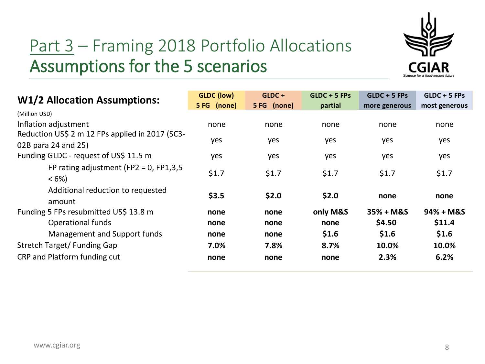

# Part 3 – Framing 2018 Portfolio Allocations Assumptions for the 5 scenarios

| <b>W1/2 Allocation Assumptions:</b>                                    | <b>GLDC</b> (low)<br>5 FG (none) | $GLDC +$<br>5 FG (none) | $GLDC + 5 FPs$<br>partial | $GLDC + 5 FPs$<br>more generous | $GLDC + 5 FPs$<br>most generous |
|------------------------------------------------------------------------|----------------------------------|-------------------------|---------------------------|---------------------------------|---------------------------------|
| (Million USD)<br>Inflation adjustment                                  | none                             | none                    | none                      | none                            | none                            |
| Reduction US\$ 2 m 12 FPs applied in 2017 (SC3-<br>02B para 24 and 25) | yes                              | yes                     | yes                       | yes                             | yes                             |
| Funding GLDC - request of US\$ 11.5 m                                  | yes                              | yes                     | yes                       | yes                             | yes                             |
| FP rating adjustment (FP2 = 0, FP1,3,5<br>$<6\%$                       | \$1.7                            | \$1.7                   | \$1.7                     | \$1.7                           | \$1.7                           |
| Additional reduction to requested<br>amount                            | \$3.5                            | \$2.0                   | \$2.0                     | none                            | none                            |
| Funding 5 FPs resubmitted US\$ 13.8 m                                  | none                             | none                    | only M&S                  | $35% + M&S$                     | $94% + M&S$                     |
| Operational funds                                                      | none                             | none                    | none                      | \$4.50                          | \$11.4                          |
| Management and Support funds                                           | none                             | none                    | \$1.6                     | \$1.6                           | \$1.6                           |
| Stretch Target/Funding Gap                                             | 7.0%                             | 7.8%                    | 8.7%                      | 10.0%                           | 10.0%                           |
| CRP and Platform funding cut                                           | none                             | none                    | none                      | 2.3%                            | 6.2%                            |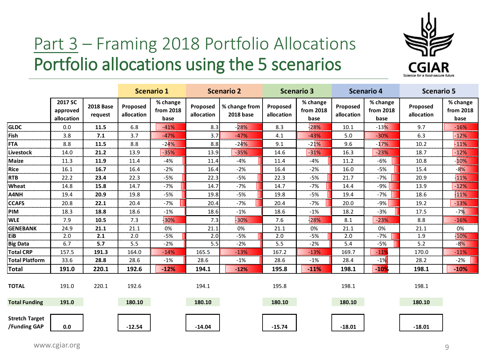

# Part 3 – Framing 2018 Portfolio Allocations Portfolio allocations using the 5 scenarios

|                                       |                                   |                             |                        | <b>Scenario 1</b>             |                        | <b>Scenario 2</b>                 | <b>Scenario 3</b>      |                               | <b>Scenario 4</b>      |                               | <b>Scenario 5</b>      |                               |
|---------------------------------------|-----------------------------------|-----------------------------|------------------------|-------------------------------|------------------------|-----------------------------------|------------------------|-------------------------------|------------------------|-------------------------------|------------------------|-------------------------------|
|                                       | 2017 SC<br>approved<br>allocation | <b>2018 Base</b><br>request | Proposed<br>allocation | % change<br>from 2018<br>base | Proposed<br>allocation | % change from<br><b>2018 base</b> | Proposed<br>allocation | % change<br>from 2018<br>base | Proposed<br>allocation | % change<br>from 2018<br>base | Proposed<br>allocation | % change<br>from 2018<br>base |
| <b>GLDC</b>                           | 0.0                               | 11.5                        | 6.8                    | $-41%$                        | 8.3                    | $-28%$                            | 8.3                    | 28%                           | 10.1                   | $-13%$                        | 9.7                    | $-16%$                        |
| Fish                                  | 3.8                               | 7.1                         | 3.7                    | $-47%$                        | 3.7                    | $-47%$                            | 4.1                    | $-43%$                        | 5.0                    | $-30%$                        | 6.3                    | $-12%$                        |
| <b>FTA</b>                            | 8.8                               | 11.5                        | 8.8                    | $-24%$                        | 8.8                    | $-24%$                            | 9.1                    | $-21%$                        | 9.6                    | $-17%$                        | 10.2                   | $-11%$                        |
| Livestock                             | 14.0                              | 21.2                        | 13.9                   | $-35%$                        | 13.9                   | $-35%$                            | 14.6                   | $-31%$                        | 16.3                   | $-23%$                        | 18.7                   | $-12%$                        |
| <b>Maize</b>                          | 11.3                              | 11.9                        | 11.4                   | -4%                           | 11.4                   | $-4%$                             | 11.4                   | $-4%$                         | 11.2                   | $-6%$                         | 10.8                   | $-10%$                        |
| <b>Rice</b>                           | 16.1                              | 16.7                        | 16.4                   | $-2%$                         | 16.4                   | $-2%$                             | 16.4                   | $-2%$                         | 16.0                   | $-5%$                         | 15.4                   | $-8\%$                        |
| <b>RTB</b>                            | 22.2                              | 23.4                        | 22.3                   | -5%                           | 22.3                   | -5%                               | 22.3                   | -5%                           | 21.7                   | -7%                           | 20.9                   | $-11%$                        |
| Wheat                                 | 14.8                              | 15.8                        | 14.7                   | $-7%$                         | 14.7                   | $-7%$                             | 14.7                   | $-7%$                         | 14.4                   | $-9%$                         | 13.9                   | $-12%$                        |
| A4NH                                  | 19.4                              | 20.9                        | 19.8                   | -5%                           | 19.8                   | -5%                               | 19.8                   | $-5%$                         | 19.4                   | $-7%$                         | 18.6                   | 11%                           |
| <b>CCAFS</b>                          | 20.8                              | 22.1                        | 20.4                   | -7%                           | 20.4                   | $-7%$                             | 20.4                   | $-7%$                         | 20.0                   | -9%                           | 19.2                   | $-13%$                        |
| <b>PIM</b>                            | 18.3                              | 18.8                        | 18.6                   | $-1%$                         | 18.6                   | $-1%$                             | 18.6                   | $-1%$                         | 18.2                   | $-3%$                         | 17.5                   | $-7%$                         |
| <b>WLE</b>                            | 7.9                               | 10.5                        | 7.3                    | $-30%$                        | 7.3                    | -30%                              | 7.6                    | 28%                           | 8.1                    | $-23%$                        | 8.8                    | $-16%$                        |
| <b>GENEBANK</b>                       | 24.9                              | 21.1                        | 21.1                   | 0%                            | 21.1                   | 0%                                | 21.1                   | 0%                            | 21.1                   | 0%                            | 21.1                   | 0%                            |
| EiB                                   | 2.0                               | 2.1                         | 2.0                    | $-5%$                         | 2.0                    | $-5%$                             | 2.0                    | $-5%$                         | 2.0                    | -7%                           | 1.9                    | $+10%$                        |
| <b>Big Data</b>                       | 6.7                               | 5.7                         | 5.5                    | $-2%$                         | 5.5                    | $-2%$                             | 5.5                    | $-2%$                         | 5.4                    | $-5%$                         | 5.2                    | $-8\%$                        |
| <b>Total CRP</b>                      | 157.5                             | 191.3                       | 164.0                  | $-14%$                        | 165.5                  | $-13%$                            | 167.2                  | $-13%$                        | 169.7                  | $-11%$                        | 170.0                  | $-11%$                        |
| <b>Total Platform</b>                 | 33.6                              | 28.8                        | 28.6                   | $-1%$                         | 28.6                   | -1%                               | 28.6                   | $-1%$                         | 28.4                   | $-1%$                         | 28.2                   | $-2%$                         |
| <b>Total</b>                          | 191.0                             | 220.1                       | 192.6                  | $-12%$                        | 194.1                  | $-12%$                            | 195.8                  | $-11%$                        | 198.1                  | $-10%$                        | 198.1                  | $-10%$                        |
| <b>TOTAL</b>                          | 191.0                             | 220.1                       | 192.6                  |                               | 194.1                  |                                   | 195.8                  |                               | 198.1                  |                               | 198.1                  |                               |
| <b>Total Funding</b>                  | 191.0                             |                             | 180.10                 |                               | 180.10                 |                                   | 180.10                 |                               | 180.10                 |                               | 180.10                 |                               |
| <b>Stretch Target</b><br>/Funding GAP | 0.0                               |                             | $-12.54$               |                               | $-14.04$               |                                   | $-15.74$               |                               | $-18.01$               |                               | $-18.01$               |                               |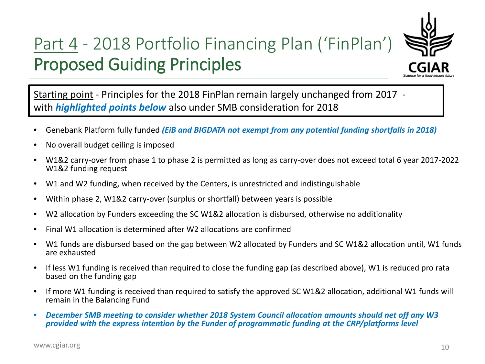# Part 4 - 2018 Portfolio Financing Plan ('FinPlan') Proposed Guiding Principles



Starting point - Principles for the 2018 FinPlan remain largely unchanged from 2017 with *highlighted points below* also under SMB consideration for 2018

- Genebank Platform fully funded *(EiB and BIGDATA not exempt from any potential funding shortfalls in 2018)*
- No overall budget ceiling is imposed
- W1&2 carry-over from phase 1 to phase 2 is permitted as long as carry-over does not exceed total 6 year 2017-2022 W1&2 funding request
- W1 and W2 funding, when received by the Centers, is unrestricted and indistinguishable
- Within phase 2, W1&2 carry-over (surplus or shortfall) between years is possible
- W2 allocation by Funders exceeding the SC W1&2 allocation is disbursed, otherwise no additionality
- Final W1 allocation is determined after W2 allocations are confirmed
- W1 funds are disbursed based on the gap between W2 allocated by Funders and SC W1&2 allocation until, W1 funds are exhausted
- If less W1 funding is received than required to close the funding gap (as described above), W1 is reduced pro rata based on the funding gap
- If more W1 funding is received than required to satisfy the approved SC W1&2 allocation, additional W1 funds will remain in the Balancing Fund
- *December SMB meeting to consider whether 2018 System Council allocation amounts should net off any W3 provided with the express intention by the Funder of programmatic funding at the CRP/platforms level*